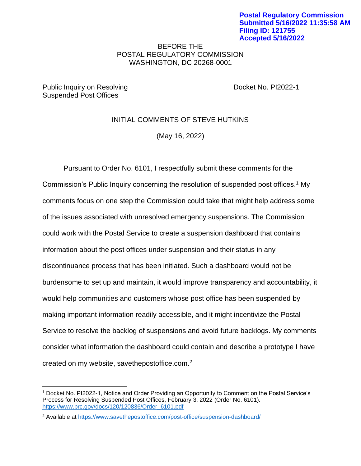## BEFORE THE POSTAL REGULATORY COMMISSION WASHINGTON, DC 20268-0001

Public Inquiry on Resolving The Contract Contract Contract Docket No. PI2022-1 Suspended Post Offices

# INITIAL COMMENTS OF STEVE HUTKINS

(May 16, 2022)

Pursuant to Order No. 6101, I respectfully submit these comments for the Commission's Public Inquiry concerning the resolution of suspended post offices.<sup>1</sup> My comments focus on one step the Commission could take that might help address some of the issues associated with unresolved emergency suspensions. The Commission could work with the Postal Service to create a suspension dashboard that contains information about the post offices under suspension and their status in any discontinuance process that has been initiated. Such a dashboard would not be burdensome to set up and maintain, it would improve transparency and accountability, it would help communities and customers whose post office has been suspended by making important information readily accessible, and it might incentivize the Postal Service to resolve the backlog of suspensions and avoid future backlogs. My comments consider what information the dashboard could contain and describe a prototype I have created on my website, savethepostoffice.com.<sup>2</sup>

<sup>1</sup> Docket No. PI2022-1, Notice and Order Providing an Opportunity to Comment on the Postal Service's Process for Resolving Suspended Post Offices, February 3, 2022 (Order No. 6101). [https://www.prc.gov/docs/120/120836/Order\\_6101.pdf](https://www.prc.gov/docs/120/120836/Order_6101.pdf)

<sup>&</sup>lt;sup>2</sup> Available at<https://www.savethepostoffice.com/post-office/suspension-dashboard/>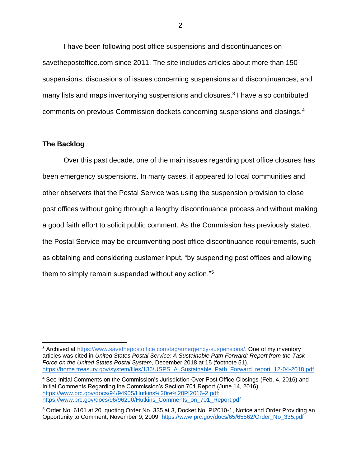I have been following post office suspensions and discontinuances on savethepostoffice.com since 2011. The site includes articles about more than 150 suspensions, discussions of issues concerning suspensions and discontinuances, and many lists and maps inventorying suspensions and closures.<sup>3</sup> I have also contributed comments on previous Commission dockets concerning suspensions and closings.<sup>4</sup>

#### **The Backlog**

Over this past decade, one of the main issues regarding post office closures has been emergency suspensions. In many cases, it appeared to local communities and other observers that the Postal Service was using the suspension provision to close post offices without going through a lengthy discontinuance process and without making a good faith effort to solicit public comment. As the Commission has previously stated, the Postal Service may be circumventing post office discontinuance requirements, such as obtaining and considering customer input, "by suspending post offices and allowing them to simply remain suspended without any action."<sup>5</sup>

<sup>&</sup>lt;sup>3</sup> Archived at [https://www.savethepostoffice.com/tag/emergency-suspensions/.](https://www.savethepostoffice.com/tag/emergency-suspensions/) One of my inventory articles was cited in *United States Postal Service: A Sustainable Path Forward: Report from the Task Force on the United States Postal System*, December 2018 at 15 (footnote 51). [https://home.treasury.gov/system/files/136/USPS\\_A\\_Sustainable\\_Path\\_Forward\\_report\\_12-04-2018.pdf](https://home.treasury.gov/system/files/136/USPS_A_Sustainable_Path_Forward_report_12-04-2018.pdf)

<sup>4</sup> See Initial Comments on the Commission's Jurisdiction Over Post Office Closings (Feb. 4, 2016) and Initial Comments Regarding the Commission's Section 701 Report (June 14, 2016). [https://www.prc.gov/docs/94/94905/Hutkins%20re%20PI2016-2.pdf;](https://www.prc.gov/docs/94/94905/Hutkins%20re%20PI2016-2.pdf) [https://www.prc.gov/docs/96/96200/Hutkins\\_Comments\\_on\\_701\\_Report.pdf](https://www.prc.gov/docs/96/96200/Hutkins_Comments_on_701_Report.pdf)

<sup>5</sup> Order No. 6101 at 20, quoting Order No. 335 at 3, Docket No. PI2010-1, Notice and Order Providing an Opportunity to Comment, November 9, 2009. [https://www.prc.gov/docs/65/65562/Order\\_No\\_335.pdf](https://www.prc.gov/docs/65/65562/Order_No_335.pdf)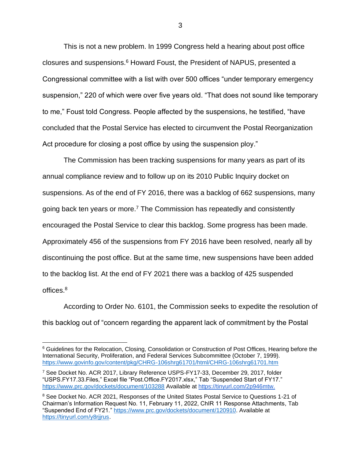This is not a new problem. In 1999 Congress held a hearing about post office closures and suspensions.<sup>6</sup> Howard Foust, the President of NAPUS, presented a Congressional committee with a list with over 500 offices "under temporary emergency suspension," 220 of which were over five years old. "That does not sound like temporary to me," Foust told Congress. People affected by the suspensions, he testified, "have concluded that the Postal Service has elected to circumvent the Postal Reorganization Act procedure for closing a post office by using the suspension ploy."

The Commission has been tracking suspensions for many years as part of its annual compliance review and to follow up on its 2010 Public Inquiry docket on suspensions. As of the end of FY 2016, there was a backlog of 662 suspensions, many going back ten years or more.<sup>7</sup> The Commission has repeatedly and consistently encouraged the Postal Service to clear this backlog. Some progress has been made. Approximately 456 of the suspensions from FY 2016 have been resolved, nearly all by discontinuing the post office. But at the same time, new suspensions have been added to the backlog list. At the end of FY 2021 there was a backlog of 425 suspended offices.<sup>8</sup>

According to Order No. 6101, the Commission seeks to expedite the resolution of this backlog out of "concern regarding the apparent lack of commitment by the Postal

<sup>&</sup>lt;sup>6</sup> Guidelines for the Relocation, Closing, Consolidation or Construction of Post Offices, Hearing before the International Security, Proliferation, and Federal Services Subcommittee (October 7, 1999). <https://www.govinfo.gov/content/pkg/CHRG-106shrg61701/html/CHRG-106shrg61701.htm>

<sup>7</sup> See Docket No. ACR 2017, Library Reference USPS-FY17-33, December 29, 2017, folder "USPS.FY17.33.Files," Excel file "Post.Office.FY2017.xlsx," Tab "Suspended Start of FY17." <https://www.prc.gov/dockets/document/103288> Available at [https://tinyurl.com/2p946mtw.](https://tinyurl.com/2p946mtw)

<sup>&</sup>lt;sup>8</sup> See Docket No. ACR 2021, Responses of the United States Postal Service to Questions 1-21 of Chairman's Information Request No. 11, February 11, 2022, ChIR 11 Response Attachments, Tab "Suspended End of FY21." [https://www.prc.gov/dockets/document/120910.](https://www.prc.gov/dockets/document/120910) Available at [https://tinyurl.com/y8rjjrus.](https://tinyurl.com/y8rjjrus)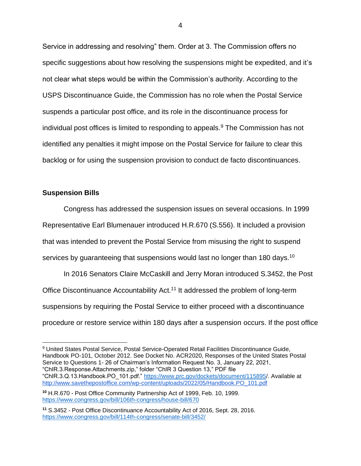Service in addressing and resolving" them. Order at 3. The Commission offers no specific suggestions about how resolving the suspensions might be expedited, and it's not clear what steps would be within the Commission's authority. According to the USPS Discontinuance Guide, the Commission has no role when the Postal Service suspends a particular post office, and its role in the discontinuance process for individual post offices is limited to responding to appeals.<sup>9</sup> The Commission has not identified any penalties it might impose on the Postal Service for failure to clear this backlog or for using the suspension provision to conduct de facto discontinuances.

### **Suspension Bills**

Congress has addressed the suspension issues on several occasions. In 1999 Representative Earl Blumenauer introduced H.R.670 (S.556). It included a provision that was intended to prevent the Postal Service from misusing the right to suspend services by guaranteeing that suspensions would last no longer than 180 days.<sup>10</sup>

In 2016 Senators Claire McCaskill and Jerry Moran introduced S.3452, the Post Office Discontinuance Accountability Act.<sup>11</sup> It addressed the problem of long-term suspensions by requiring the Postal Service to either proceed with a discontinuance procedure or restore service within 180 days after a suspension occurs. If the post office

<sup>9</sup> United States Postal Service, Postal Service-Operated Retail Facilities Discontinuance Guide, Handbook PO-101, October 2012. See Docket No. ACR2020, Responses of the United States Postal Service to Questions 1- 26 of Chairman's Information Request No. 3, January 22, 2021, "ChIR.3.Response.Attachments.zip," folder "ChIR 3 Question 13," PDF file "ChIR.3.Q.13.Handbook.PO\_101.pdf." [https://www.prc.gov/dockets/document/115895/](https://www.prc.gov/dockets/document/115895). Available at [http://www.savethepostoffice.com/wp-content/uploads/2022/05/Handbook.PO\\_101.pdf](http://www.savethepostoffice.com/wp-content/uploads/2022/05/Handbook.PO_101.pdf)

**<sup>10</sup>** H.R.670 - Post Office Community Partnership Act of 1999, Feb. 10, 1999. <https://www.congress.gov/bill/106th-congress/house-bill/670>

**<sup>11</sup>** S.3452 - Post Office Discontinuance Accountability Act of 2016, Sept. 28, 2016. <https://www.congress.gov/bill/114th-congress/senate-bill/3452/>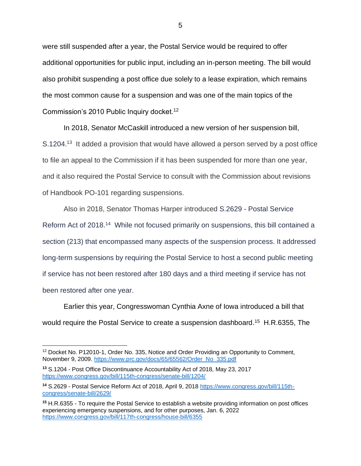were still suspended after a year, the Postal Service would be required to offer additional opportunities for public input, including an in-person meeting. The bill would also prohibit suspending a post office due solely to a lease expiration, which remains the most common cause for a suspension and was one of the main topics of the Commission's 2010 Public Inquiry docket.<sup>12</sup>

In 2018, Senator McCaskill introduced a new version of her suspension bill, S.1204.<sup>13</sup> It added a provision that would have allowed a person served by a post office to file an appeal to the Commission if it has been suspended for more than one year, and it also required the Postal Service to consult with the Commission about revisions of Handbook PO-101 regarding suspensions.

Also in 2018, Senator Thomas Harper introduced S.2629 - Postal Service Reform Act of 2018.<sup>14</sup> While not focused primarily on suspensions, this bill contained a section (213) that encompassed many aspects of the suspension process. It addressed long-term suspensions by requiring the Postal Service to host a second public meeting if service has not been restored after 180 days and a third meeting if service has not been restored after one year.

Earlier this year, Congresswoman Cynthia Axne of Iowa introduced a bill that would require the Postal Service to create a suspension dashboard.<sup>15</sup> H.R.6355, The

<sup>&</sup>lt;sup>12</sup> Docket No. P12010-1, Order No. 335, Notice and Order Providing an Opportunity to Comment, November 9, 2009. [https://www.prc.gov/docs/65/65562/Order\\_No\\_335.pdf](https://www.prc.gov/docs/65/65562/Order_No_335.pdf)

**<sup>13</sup>** S.1204 - Post Office Discontinuance Accountability Act of 2018, May 23, 2017 <https://www.congress.gov/bill/115th-congress/senate-bill/1204/>

**<sup>14</sup>** S.2629 - Postal Service Reform Act of 2018, April 9, 2018 [https://www.congress.gov/bill/115th](https://www.congress.gov/bill/115th-congress/senate-bill/2629/)[congress/senate-bill/2629/](https://www.congress.gov/bill/115th-congress/senate-bill/2629/)

**<sup>15</sup>** H.R.6355 - To require the Postal Service to establish a website providing information on post offices experiencing emergency suspensions, and for other purposes, Jan. 6, 2022 <https://www.congress.gov/bill/117th-congress/house-bill/6355>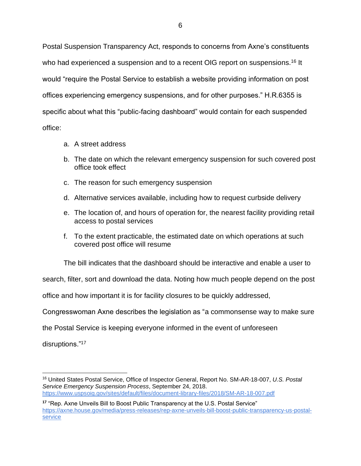Postal Suspension Transparency Act, responds to concerns from Axne's constituents who had experienced a suspension and to a recent OIG report on suspensions.<sup>16</sup> It would "require the Postal Service to establish a website providing information on post offices experiencing emergency suspensions, and for other purposes." H.R.6355 is specific about what this "public-facing dashboard" would contain for each suspended office:

- a. A street address
- b. The date on which the relevant emergency suspension for such covered post office took effect
- c. The reason for such emergency suspension
- d. Alternative services available, including how to request curbside delivery
- e. The location of, and hours of operation for, the nearest facility providing retail access to postal services
- f. To the extent practicable, the estimated date on which operations at such covered post office will resume

The bill indicates that the dashboard should be interactive and enable a user to

search, filter, sort and download the data. Noting how much people depend on the post

office and how important it is for facility closures to be quickly addressed,

Congresswoman Axne describes the legislation as "a commonsense way to make sure

the Postal Service is keeping everyone informed in the event of unforeseen

disruptions."<sup>17</sup>

<sup>16</sup> United States Postal Service, Office of Inspector General, Report No. SM-AR-18-007, *U.S. Postal Service Emergency Suspension Process*, September 24, 2018. <https://www.uspsoig.gov/sites/default/files/document-library-files/2018/SM-AR-18-007.pdf>

**<sup>17</sup>** "Rep. Axne Unveils Bill to Boost Public Transparency at the U.S. Postal Service" [https://axne.house.gov/media/press-releases/rep-axne-unveils-bill-boost-public-transparency-us-postal](https://axne.house.gov/media/press-releases/rep-axne-unveils-bill-boost-public-transparency-us-postal-service)[service](https://axne.house.gov/media/press-releases/rep-axne-unveils-bill-boost-public-transparency-us-postal-service)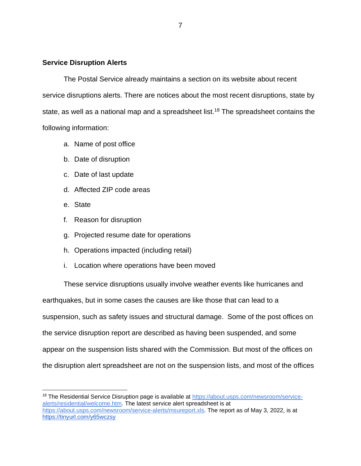#### **Service Disruption Alerts**

The Postal Service already maintains a section on its website about recent service disruptions alerts. There are notices about the most recent disruptions, state by state, as well as a national map and a spreadsheet list.<sup>18</sup> The spreadsheet contains the following information:

- a. Name of post office
- b. Date of disruption
- c. Date of last update
- d. Affected ZIP code areas
- e. State
- f. Reason for disruption
- g. Projected resume date for operations
- h. Operations impacted (including retail)
- i. Location where operations have been moved

These service disruptions usually involve weather events like hurricanes and earthquakes, but in some cases the causes are like those that can lead to a suspension, such as safety issues and structural damage. Some of the post offices on the service disruption report are described as having been suspended, and some appear on the suspension lists shared with the Commission. But most of the offices on the disruption alert spreadsheet are not on the suspension lists, and most of the offices

<sup>&</sup>lt;sup>18</sup> The Residential Service Disruption page is available at [https://about.usps.com/newsroom/service](https://about.usps.com/newsroom/service-alerts/residential/welcome.htm)[alerts/residential/welcome.htm.](https://about.usps.com/newsroom/service-alerts/residential/welcome.htm) The latest service alert spreadsheet is at [https://about.usps.com/newsroom/service-alerts/msureport.xls.](https://about.usps.com/newsroom/service-alerts/msureport.xls) The report as of May 3, 2022, is at <https://tinyurl.com/y65wczsy>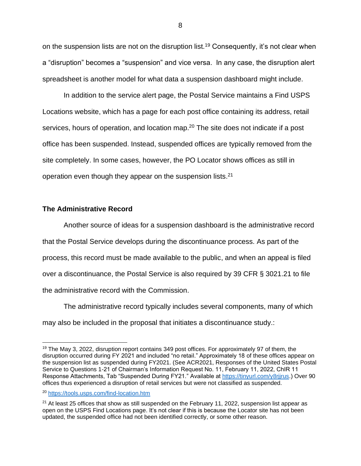on the suspension lists are not on the disruption list.<sup>19</sup> Consequently, it's not clear when a "disruption" becomes a "suspension" and vice versa. In any case, the disruption alert spreadsheet is another model for what data a suspension dashboard might include.

In addition to the service alert page, the Postal Service maintains a Find USPS Locations website, which has a page for each post office containing its address, retail services, hours of operation, and location map.<sup>20</sup> The site does not indicate if a post office has been suspended. Instead, suspended offices are typically removed from the site completely. In some cases, however, the PO Locator shows offices as still in operation even though they appear on the suspension lists. $21$ 

### **The Administrative Record**

Another source of ideas for a suspension dashboard is the administrative record that the Postal Service develops during the discontinuance process. As part of the process, this record must be made available to the public, and when an appeal is filed over a discontinuance, the Postal Service is also required by 39 CFR § 3021.21 to file the administrative record with the Commission.

The administrative record typically includes several components, many of which may also be included in the proposal that initiates a discontinuance study.:

<sup>&</sup>lt;sup>19</sup> The May 3, 2022, disruption report contains 349 post offices. For approximately 97 of them, the disruption occurred during FY 2021 and included "no retail." Approximately 18 of these offices appear on the suspension list as suspended during FY2021. (See ACR2021, Responses of the United States Postal Service to Questions 1-21 of Chairman's Information Request No. 11, February 11, 2022, ChIR 11 Response Attachments, Tab "Suspended During FY21." Available at [https://tinyurl.com/y8rjjrus.](https://tinyurl.com/y8rjjrus)) Over 90 offices thus experienced a disruption of retail services but were not classified as suspended.

<sup>20</sup> <https://tools.usps.com/find-location.htm>

 $21$  At least 25 offices that show as still suspended on the February 11, 2022, suspension list appear as open on the USPS Find Locations page. It's not clear if this is because the Locator site has not been updated, the suspended office had not been identified correctly, or some other reason.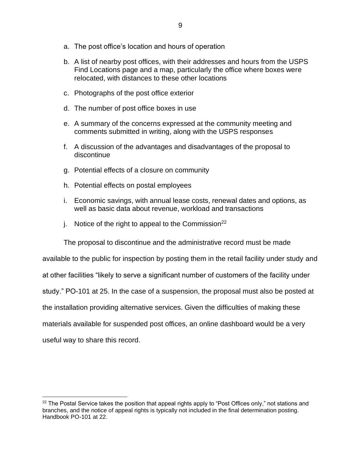- a. The post office's location and hours of operation
- b. A list of nearby post offices, with their addresses and hours from the USPS Find Locations page and a map, particularly the office where boxes were relocated, with distances to these other locations
- c. Photographs of the post office exterior
- d. The number of post office boxes in use
- e. A summary of the concerns expressed at the community meeting and comments submitted in writing, along with the USPS responses
- f. A discussion of the advantages and disadvantages of the proposal to discontinue
- g. Potential effects of a closure on community
- h. Potential effects on postal employees
- i. Economic savings, with annual lease costs, renewal dates and options, as well as basic data about revenue, workload and transactions
- j. Notice of the right to appeal to the Commission<sup>22</sup>

The proposal to discontinue and the administrative record must be made

available to the public for inspection by posting them in the retail facility under study and

at other facilities "likely to serve a significant number of customers of the facility under

study." PO-101 at 25. In the case of a suspension, the proposal must also be posted at

the installation providing alternative services. Given the difficulties of making these

materials available for suspended post offices, an online dashboard would be a very

useful way to share this record.

 $22$  The Postal Service takes the position that appeal rights apply to "Post Offices only," not stations and branches, and the notice of appeal rights is typically not included in the final determination posting. Handbook PO-101 at 22.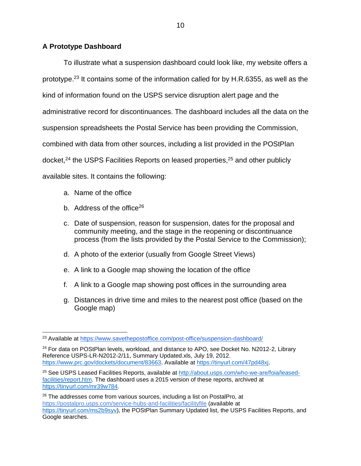# **A Prototype Dashboard**

To illustrate what a suspension dashboard could look like, my website offers a prototype.<sup>23</sup> It contains some of the information called for by H.R.6355, as well as the kind of information found on the USPS service disruption alert page and the administrative record for discontinuances. The dashboard includes all the data on the suspension spreadsheets the Postal Service has been providing the Commission, combined with data from other sources, including a list provided in the POStPlan docket,<sup>24</sup> the USPS Facilities Reports on leased properties,<sup>25</sup> and other publicly available sites. It contains the following:

- a. Name of the office
- b. Address of the office<sup>26</sup>
- c. Date of suspension, reason for suspension, dates for the proposal and community meeting, and the stage in the reopening or discontinuance process (from the lists provided by the Postal Service to the Commission);
- d. A photo of the exterior (usually from Google Street Views)
- e. A link to a Google map showing the location of the office
- f. A link to a Google map showing post offices in the surrounding area
- g. Distances in drive time and miles to the nearest post office (based on the Google map)

<sup>&</sup>lt;sup>23</sup> Available at <https://www.savethepostoffice.com/post-office/suspension-dashboard/>

 $24$  For data on POStPlan levels, workload, and distance to APO, see Docket No. N2012-2, Library Reference USPS-LR-N2012-2/11, Summary Updated.xls, July 19, 2012. [https://www.prc.gov/dockets/document/83663.](https://www.prc.gov/dockets/document/83663) Available at [https://tinyurl.com/47pd48xj.](https://tinyurl.com/47pd48xj)

<sup>25</sup> See USPS Leased Facilities Reports, available at [http://about.usps.com/who-we-are/foia/leased](http://about.usps.com/who-we-are/foia/leased-facilities/report.htm)[facilities/report.htm.](http://about.usps.com/who-we-are/foia/leased-facilities/report.htm) The dashboard uses a 2015 version of these reports, archived at [https://tinyurl.com/mr39w784.](https://tinyurl.com/mr39w784)

<sup>&</sup>lt;sup>26</sup> The addresses come from various sources, including a list on PostalPro, at <https://postalpro.usps.com/service-hubs-and-facilities/facilityfile> (available at [https://tinyurl.com/ms2b9syv\)](https://tinyurl.com/ms2b9syv), the POStPlan Summary Updated list, the USPS Facilities Reports, and Google searches.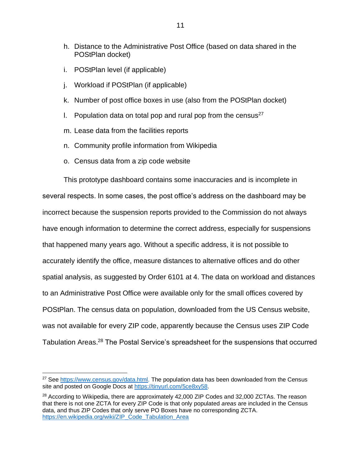- h. Distance to the Administrative Post Office (based on data shared in the POStPlan docket)
- i. POStPlan level (if applicable)
- j. Workload if POStPlan (if applicable)
- k. Number of post office boxes in use (also from the POStPlan docket)
- I. Population data on total pop and rural pop from the census<sup>27</sup>
- m. Lease data from the facilities reports
- n. Community profile information from Wikipedia
- o. Census data from a zip code website

This prototype dashboard contains some inaccuracies and is incomplete in several respects. In some cases, the post office's address on the dashboard may be incorrect because the suspension reports provided to the Commission do not always have enough information to determine the correct address, especially for suspensions that happened many years ago. Without a specific address, it is not possible to accurately identify the office, measure distances to alternative offices and do other spatial analysis, as suggested by Order 6101 at 4. The data on workload and distances to an Administrative Post Office were available only for the small offices covered by POStPlan. The census data on population, downloaded from the US Census website, was not available for every ZIP code, apparently because the Census uses ZIP Code Tabulation Areas.<sup>28</sup> The Postal Service's spreadsheet for the suspensions that occurred

<sup>&</sup>lt;sup>27</sup> See [https://www.census.gov/data.html.](https://www.census.gov/data.html) The population data has been downloaded from the Census site and posted on Google Docs at [https://tinyurl.com/5ce8xy58.](https://tinyurl.com/5ce8xy58)

<sup>&</sup>lt;sup>28</sup> According to Wikipedia, there are approximately 42,000 ZIP Codes and 32,000 ZCTAs. The reason that there is not one ZCTA for every ZIP Code is that only populated *areas* are included in the Census data, and thus ZIP Codes that only serve PO Boxes have no corresponding ZCTA. [https://en.wikipedia.org/wiki/ZIP\\_Code\\_Tabulation\\_Area](https://en.wikipedia.org/wiki/ZIP_Code_Tabulation_Area)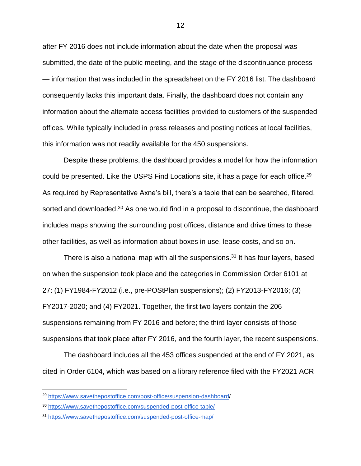after FY 2016 does not include information about the date when the proposal was submitted, the date of the public meeting, and the stage of the discontinuance process — information that was included in the spreadsheet on the FY 2016 list. The dashboard consequently lacks this important data. Finally, the dashboard does not contain any information about the alternate access facilities provided to customers of the suspended offices. While typically included in press releases and posting notices at local facilities, this information was not readily available for the 450 suspensions.

Despite these problems, the dashboard provides a model for how the information could be presented. Like the USPS Find Locations site, it has a page for each office.<sup>29</sup> As required by Representative Axne's bill, there's a table that can be searched, filtered, sorted and downloaded.<sup>30</sup> As one would find in a proposal to discontinue, the dashboard includes maps showing the surrounding post offices, distance and drive times to these other facilities, as well as information about boxes in use, lease costs, and so on.

There is also a national map with all the suspensions.<sup>31</sup> It has four layers, based on when the suspension took place and the categories in Commission Order 6101 at 27: (1) FY1984-FY2012 (i.e., pre-POStPlan suspensions); (2) FY2013-FY2016; (3) FY2017-2020; and (4) FY2021. Together, the first two layers contain the 206 suspensions remaining from FY 2016 and before; the third layer consists of those suspensions that took place after FY 2016, and the fourth layer, the recent suspensions.

The dashboard includes all the 453 offices suspended at the end of FY 2021, as cited in Order 6104, which was based on a library reference filed with the FY2021 ACR

<sup>29</sup> [https://www.savethepostoffice.com/post-office/suspension-dashboard/](https://www.savethepostoffice.com/post-office/suspension-dashboard)

<sup>30</sup> <https://www.savethepostoffice.com/suspended-post-office-table/>

<sup>31</sup> <https://www.savethepostoffice.com/suspended-post-office-map/>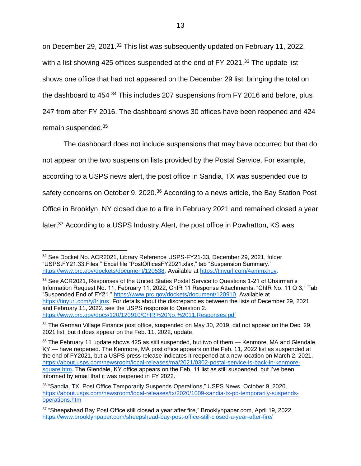on December 29, 2021.<sup>32</sup> This list was subsequently updated on February 11, 2022, with a list showing 425 offices suspended at the end of FY 2021.<sup>33</sup> The update list shows one office that had not appeared on the December 29 list, bringing the total on the dashboard to 454<sup>34</sup> This includes 207 suspensions from FY 2016 and before, plus 247 from after FY 2016. The dashboard shows 30 offices have been reopened and 424 remain suspended.<sup>35</sup>

The dashboard does not include suspensions that may have occurred but that do not appear on the two suspension lists provided by the Postal Service. For example, according to a USPS news alert, the post office in Sandia, TX was suspended due to safety concerns on October 9, 2020.<sup>36</sup> According to a news article, the Bay Station Post Office in Brooklyn, NY closed due to a fire in February 2021 and remained closed a year later.<sup>37</sup> According to a USPS Industry Alert, the post office in Powhatton, KS was

<sup>32</sup> See Docket No. ACR2021, Library Reference USPS-FY21-33, December 29, 2021, folder "USPS.FY21.33.Files," Excel file "PostOfficesFY2021.xlsx," tab "Suspension Summary." [https://www.prc.gov/dockets/document/120538.](https://www.prc.gov/dockets/document/120538) Available at [https://tinyurl.com/4ammxhuv.](https://tinyurl.com/4ammxhuv)

<sup>&</sup>lt;sup>33</sup> See ACR2021, Responses of the United States Postal Service to Questions 1-21 of Chairman's Information Request No. 11, February 11, 2022, ChIR 11 Response Attachments, "ChIR No. 11 Q 3," Tab "Suspended End of FY21." [https://www.prc.gov/dockets/document/120910.](https://www.prc.gov/dockets/document/120910) Available at [https://tinyurl.com/y8rjjrus.](https://tinyurl.com/y8rjjrus) For details about the discrepancies between the lists of December 29, 2021 and February 11, 2022, see the USPS response to Question 2. <https://www.prc.gov/docs/120/120910/ChIR%20No.%2011.Responses.pdf>

<sup>34</sup> The German Village Finance post office, suspended on May 30, 2019, did not appear on the Dec. 29, 2021 list, but it does appear on the Feb. 11, 2022, update.

<sup>&</sup>lt;sup>35</sup> The February 11 update shows 425 as still suspended, but two of them — Kenmore, MA and Glendale, KY — have reopened. The Kenmore, MA post office appears on the Feb. 11, 2022 list as suspended at the end of FY2021, but a USPS press release indicates it reopened at a new location on March 2, 2021. [https://about.usps.com/newsroom/local-releases/ma/2021/0302-postal-service-is-back-in-kenmore](https://about.usps.com/newsroom/local-releases/ma/2021/0302-postal-service-is-back-in-kenmore-square.htm)[square.htm.](https://about.usps.com/newsroom/local-releases/ma/2021/0302-postal-service-is-back-in-kenmore-square.htm) The Glendale, KY office appears on the Feb. 11 list as still suspended, but I've been informed by email that it was reopened in FY 2022.

<sup>&</sup>lt;sup>36</sup> "Sandia, TX, Post Office Temporarily Suspends Operations," USPS News, October 9, 2020. [https://about.usps.com/newsroom/local-releases/tx/2020/1009-sandia-tx-po-temporarily-suspends](https://about.usps.com/newsroom/local-releases/tx/2020/1009-sandia-tx-po-temporarily-suspends-operations.htm)[operations.htm](https://about.usps.com/newsroom/local-releases/tx/2020/1009-sandia-tx-po-temporarily-suspends-operations.htm)

<sup>&</sup>lt;sup>37</sup> "Sheepshead Bay Post Office still closed a year after fire," Brooklynpaper.com, April 19, 2022. <https://www.brooklynpaper.com/sheepshead-bay-post-office-still-closed-a-year-after-fire/>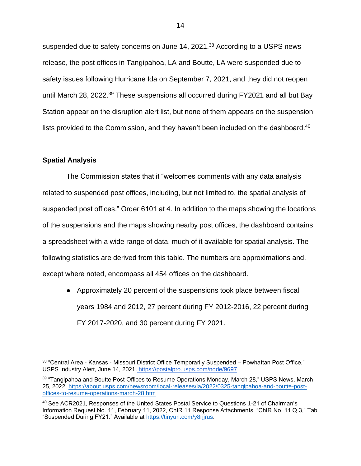suspended due to safety concerns on June 14, 2021.<sup>38</sup> According to a USPS news release, the post offices in Tangipahoa, LA and Boutte, LA were suspended due to safety issues following Hurricane Ida on September 7, 2021, and they did not reopen until March 28, 2022.<sup>39</sup> These suspensions all occurred during FY2021 and all but Bay Station appear on the disruption alert list, but none of them appears on the suspension lists provided to the Commission, and they haven't been included on the dashboard.<sup>40</sup>

### **Spatial Analysis**

The Commission states that it "welcomes comments with any data analysis related to suspended post offices, including, but not limited to, the spatial analysis of suspended post offices." Order 6101 at 4. In addition to the maps showing the locations of the suspensions and the maps showing nearby post offices, the dashboard contains a spreadsheet with a wide range of data, much of it available for spatial analysis. The following statistics are derived from this table. The numbers are approximations and, except where noted, encompass all 454 offices on the dashboard.

● Approximately 20 percent of the suspensions took place between fiscal years 1984 and 2012, 27 percent during FY 2012-2016, 22 percent during FY 2017-2020, and 30 percent during FY 2021.

 $38$  "Central Area - Kansas - Missouri District Office Temporarily Suspended – Powhattan Post Office," USPS Industry Alert, June 14, 2021. <https://postalpro.usps.com/node/9697>

<sup>&</sup>lt;sup>39</sup> "Tangipahoa and Boutte Post Offices to Resume Operations Monday, March 28," USPS News, March 25, 2022. [https://about.usps.com/newsroom/local-releases/la/2022/0325-tangipahoa-and-boutte-post](https://about.usps.com/newsroom/local-releases/la/2022/0325-tangipahoa-and-boutte-post-offices-to-resume-operations-march-28.htm)[offices-to-resume-operations-march-28.htm](https://about.usps.com/newsroom/local-releases/la/2022/0325-tangipahoa-and-boutte-post-offices-to-resume-operations-march-28.htm)

<sup>40</sup> See ACR2021, Responses of the United States Postal Service to Questions 1-21 of Chairman's Information Request No. 11, February 11, 2022, ChIR 11 Response Attachments, "ChIR No. 11 Q 3," Tab "Suspended During FY21." Available at [https://tinyurl.com/y8rjjrus.](https://tinyurl.com/y8rjjrus)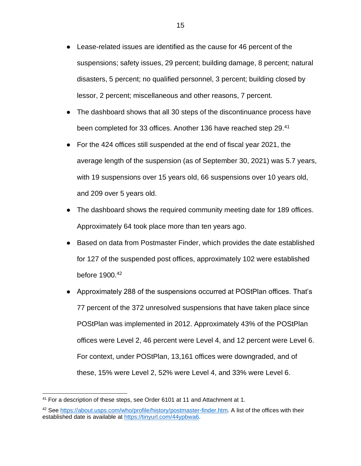- Lease-related issues are identified as the cause for 46 percent of the suspensions; safety issues, 29 percent; building damage, 8 percent; natural disasters, 5 percent; no qualified personnel, 3 percent; building closed by lessor, 2 percent; miscellaneous and other reasons, 7 percent.
- The dashboard shows that all 30 steps of the discontinuance process have been completed for 33 offices. Another 136 have reached step 29.<sup>41</sup>
- For the 424 offices still suspended at the end of fiscal year 2021, the average length of the suspension (as of September 30, 2021) was 5.7 years, with 19 suspensions over 15 years old, 66 suspensions over 10 years old, and 209 over 5 years old.
- The dashboard shows the required community meeting date for 189 offices. Approximately 64 took place more than ten years ago.
- Based on data from Postmaster Finder, which provides the date established for 127 of the suspended post offices, approximately 102 were established before 1900.<sup>42</sup>
- Approximately 288 of the suspensions occurred at POStPlan offices. That's 77 percent of the 372 unresolved suspensions that have taken place since POStPlan was implemented in 2012. Approximately 43% of the POStPlan offices were Level 2, 46 percent were Level 4, and 12 percent were Level 6. For context, under POStPlan, 13,161 offices were downgraded, and of these, 15% were Level 2, 52% were Level 4, and 33% were Level 6.

<sup>41</sup> For a description of these steps, see Order 6101 at 11 and Attachment at 1.

<sup>&</sup>lt;sup>42</sup> See [https://about.usps.com/who/profile/history/postmaster-finder.htm.](https://about.usps.com/who/profile/history/postmaster-finder.htm) A list of the offices with their established date is available at [https://tinyurl.com/44ypbwa6.](https://tinyurl.com/44ypbwa6)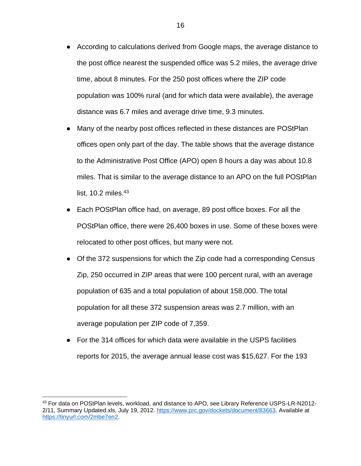- According to calculations derived from Google maps, the average distance to the post office nearest the suspended office was 5.2 miles, the average drive time, about 8 minutes. For the 250 post offices where the ZIP code population was 100% rural (and for which data were available), the average distance was 6.7 miles and average drive time, 9.3 minutes.
- Many of the nearby post offices reflected in these distances are POStPlan offices open only part of the day. The table shows that the average distance to the Administrative Post Office (APO) open 8 hours a day was about 10.8 miles. That is similar to the average distance to an APO on the full POStPlan list, 10.2 miles. $43$
- Each POStPlan office had, on average, 89 post office boxes. For all the POStPlan office, there were 26,400 boxes in use. Some of these boxes were relocated to other post offices, but many were not.
- Of the 372 suspensions for which the Zip code had a corresponding Census Zip, 250 occurred in ZIP areas that were 100 percent rural, with an average population of 635 and a total population of about 158,000. The total population for all these 372 suspension areas was 2.7 million, with an average population per ZIP code of 7,359.
- For the 314 offices for which data were available in the USPS facilities reports for 2015, the average annual lease cost was \$15,627. For the 193

<sup>43</sup> For data on POStPlan levels, workload, and distance to APO, see Library Reference USPS-LR-N2012-2/11, Summary Updated.xls, July 19, 2012. [https://www.prc.gov/dockets/document/83663.](https://www.prc.gov/dockets/document/83663) Available at [https://tinyurl.com/2mbe7en2.](https://tinyurl.com/2mbe7en2)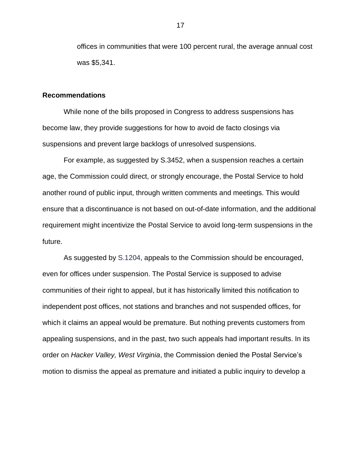offices in communities that were 100 percent rural, the average annual cost was \$5,341.

#### **Recommendations**

While none of the bills proposed in Congress to address suspensions has become law, they provide suggestions for how to avoid de facto closings via suspensions and prevent large backlogs of unresolved suspensions.

For example, as suggested by S.3452, when a suspension reaches a certain age, the Commission could direct, or strongly encourage, the Postal Service to hold another round of public input, through written comments and meetings. This would ensure that a discontinuance is not based on out-of-date information, and the additional requirement might incentivize the Postal Service to avoid long-term suspensions in the future.

As suggested by S.1204, appeals to the Commission should be encouraged, even for offices under suspension. The Postal Service is supposed to advise communities of their right to appeal, but it has historically limited this notification to independent post offices, not stations and branches and not suspended offices, for which it claims an appeal would be premature. But nothing prevents customers from appealing suspensions, and in the past, two such appeals had important results. In its order on *Hacker Valley, West Virginia*, the Commission denied the Postal Service's motion to dismiss the appeal as premature and initiated a public inquiry to develop a

17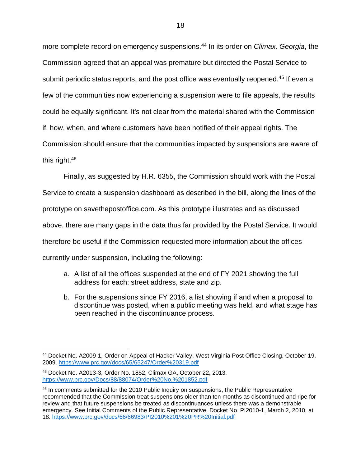more complete record on emergency suspensions.<sup>44</sup> In its order on *Climax, Georgia*, the Commission agreed that an appeal was premature but directed the Postal Service to submit periodic status reports, and the post office was eventually reopened.<sup>45</sup> If even a few of the communities now experiencing a suspension were to file appeals, the results could be equally significant. It's not clear from the material shared with the Commission if, how, when, and where customers have been notified of their appeal rights. The Commission should ensure that the communities impacted by suspensions are aware of this right.<sup>46</sup>

Finally, as suggested by H.R. 6355, the Commission should work with the Postal Service to create a suspension dashboard as described in the bill, along the lines of the prototype on savethepostoffice.com. As this prototype illustrates and as discussed above, there are many gaps in the data thus far provided by the Postal Service. It would therefore be useful if the Commission requested more information about the offices currently under suspension, including the following:

- a. A list of all the offices suspended at the end of FY 2021 showing the full address for each: street address, state and zip.
- b. For the suspensions since FY 2016, a list showing if and when a proposal to discontinue was posted, when a public meeting was held, and what stage has been reached in the discontinuance process.

<sup>44</sup> Docket No. A2009-1, Order on Appeal of Hacker Valley, West Virginia Post Office Closing, October 19, 2009.<https://www.prc.gov/docs/65/65247/Order%20319.pdf>

<sup>45</sup> Docket No. A2013-3, Order No. 1852, Climax GA, October 22, 2013. <https://www.prc.gov/Docs/88/88074/Order%20No.%201852.pdf>

<sup>&</sup>lt;sup>46</sup> In comments submitted for the 2010 Public Inquiry on suspensions, the Public Representative recommended that the Commission treat suspensions older than ten months as discontinued and ripe for review and that future suspensions be treated as discontinuances unless there was a demonstrable emergency. See Initial Comments of the Public Representative, Docket No. PI2010-1, March 2, 2010, at 18.<https://www.prc.gov/docs/66/66983/PI2010%201%20PR%20Initial.pdf>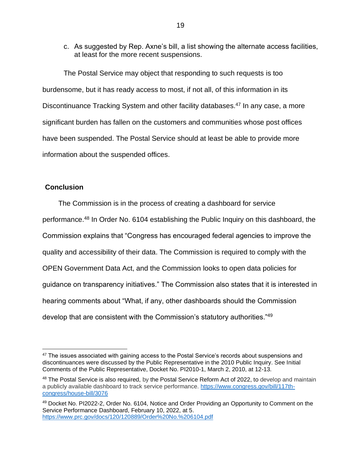c. As suggested by Rep. Axne's bill, a list showing the alternate access facilities, at least for the more recent suspensions.

The Postal Service may object that responding to such requests is too burdensome, but it has ready access to most, if not all, of this information in its Discontinuance Tracking System and other facility databases.<sup>47</sup> In any case, a more significant burden has fallen on the customers and communities whose post offices have been suspended. The Postal Service should at least be able to provide more information about the suspended offices.

## **Conclusion**

The Commission is in the process of creating a dashboard for service performance.<sup>48</sup> In Order No. 6104 establishing the Public Inquiry on this dashboard, the Commission explains that "Congress has encouraged federal agencies to improve the quality and accessibility of their data. The Commission is required to comply with the OPEN Government Data Act, and the Commission looks to open data policies for guidance on transparency initiatives." The Commission also states that it is interested in hearing comments about "What, if any, other dashboards should the Commission develop that are consistent with the Commission's statutory authorities."<sup>49</sup>

<sup>&</sup>lt;sup>47</sup> The issues associated with gaining access to the Postal Service's records about suspensions and discontinuances were discussed by the Public Representative in the 2010 Public Inquiry. See Initial Comments of the Public Representative, Docket No. PI2010-1, March 2, 2010, at 12-13.

<sup>48</sup> The Postal Service is also required, by the Postal Service Reform Act of 2022, to develop and maintain a publicly available dashboard to track service performance. [https://www.congress.gov/bill/117th](https://www.congress.gov/bill/117th-congress/house-bill/3076)[congress/house-bill/3076](https://www.congress.gov/bill/117th-congress/house-bill/3076)

<sup>49</sup> Docket No. PI2022-2, Order No. 6104, Notice and Order Providing an Opportunity to Comment on the Service Performance Dashboard, February 10, 2022, at 5. <https://www.prc.gov/docs/120/120889/Order%20No.%206104.pdf>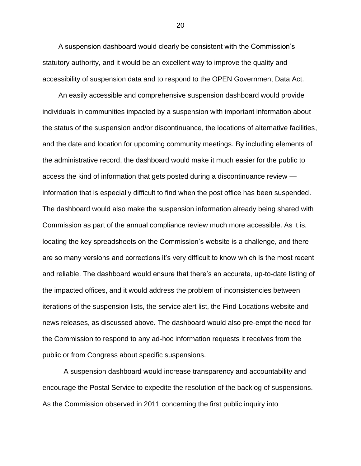A suspension dashboard would clearly be consistent with the Commission's statutory authority, and it would be an excellent way to improve the quality and accessibility of suspension data and to respond to the OPEN Government Data Act.

An easily accessible and comprehensive suspension dashboard would provide individuals in communities impacted by a suspension with important information about the status of the suspension and/or discontinuance, the locations of alternative facilities, and the date and location for upcoming community meetings. By including elements of the administrative record, the dashboard would make it much easier for the public to access the kind of information that gets posted during a discontinuance review information that is especially difficult to find when the post office has been suspended. The dashboard would also make the suspension information already being shared with Commission as part of the annual compliance review much more accessible. As it is, locating the key spreadsheets on the Commission's website is a challenge, and there are so many versions and corrections it's very difficult to know which is the most recent and reliable. The dashboard would ensure that there's an accurate, up-to-date listing of the impacted offices, and it would address the problem of inconsistencies between iterations of the suspension lists, the service alert list, the Find Locations website and news releases, as discussed above. The dashboard would also pre-empt the need for the Commission to respond to any ad-hoc information requests it receives from the public or from Congress about specific suspensions.

A suspension dashboard would increase transparency and accountability and encourage the Postal Service to expedite the resolution of the backlog of suspensions. As the Commission observed in 2011 concerning the first public inquiry into

20